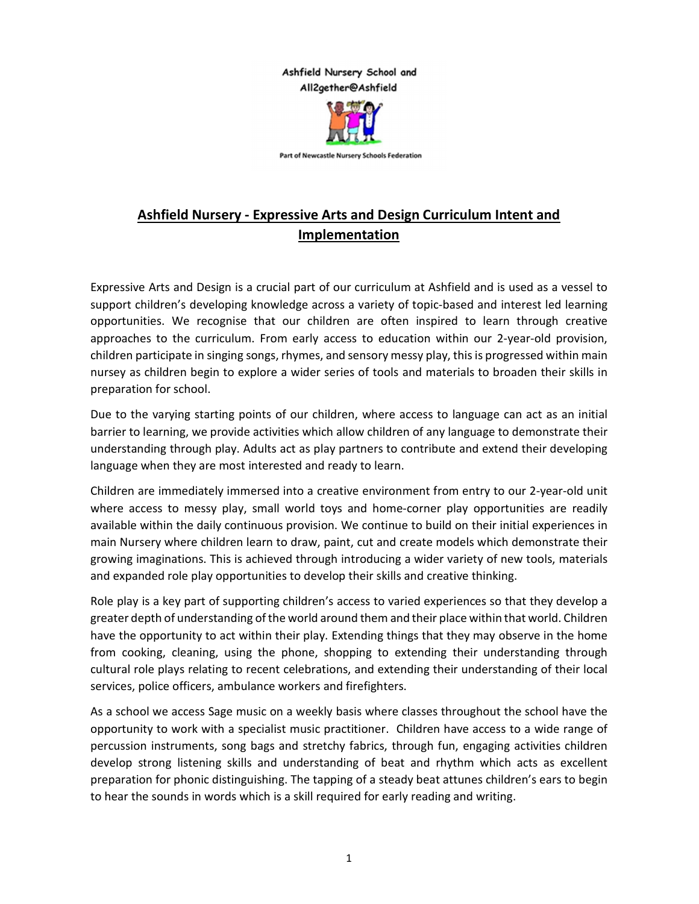## Ashfield Nursery School and All2gether@Ashfield



Part of Newcastle Nursery Schools Federation

## Ashfield Nursery - Expressive Arts and Design Curriculum Intent and Implementation

Expressive Arts and Design is a crucial part of our curriculum at Ashfield and is used as a vessel to support children's developing knowledge across a variety of topic-based and interest led learning opportunities. We recognise that our children are often inspired to learn through creative approaches to the curriculum. From early access to education within our 2-year-old provision, children participate in singing songs, rhymes, and sensory messy play, this is progressed within main nursey as children begin to explore a wider series of tools and materials to broaden their skills in preparation for school.

Due to the varying starting points of our children, where access to language can act as an initial barrier to learning, we provide activities which allow children of any language to demonstrate their understanding through play. Adults act as play partners to contribute and extend their developing language when they are most interested and ready to learn.

Children are immediately immersed into a creative environment from entry to our 2-year-old unit where access to messy play, small world toys and home-corner play opportunities are readily available within the daily continuous provision. We continue to build on their initial experiences in main Nursery where children learn to draw, paint, cut and create models which demonstrate their growing imaginations. This is achieved through introducing a wider variety of new tools, materials and expanded role play opportunities to develop their skills and creative thinking.

Role play is a key part of supporting children's access to varied experiences so that they develop a greater depth of understanding of the world around them and their place within that world. Children have the opportunity to act within their play. Extending things that they may observe in the home from cooking, cleaning, using the phone, shopping to extending their understanding through cultural role plays relating to recent celebrations, and extending their understanding of their local services, police officers, ambulance workers and firefighters.

As a school we access Sage music on a weekly basis where classes throughout the school have the opportunity to work with a specialist music practitioner. Children have access to a wide range of percussion instruments, song bags and stretchy fabrics, through fun, engaging activities children develop strong listening skills and understanding of beat and rhythm which acts as excellent preparation for phonic distinguishing. The tapping of a steady beat attunes children's ears to begin to hear the sounds in words which is a skill required for early reading and writing.